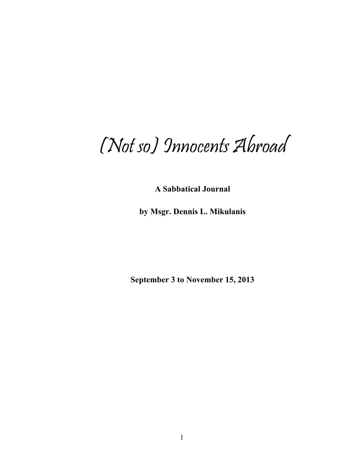# (Not so) Innocents Abroad

**A Sabbatical Journal** 

**by Msgr. Dennis L. Mikulanis** 

**September 3 to November 15, 2013**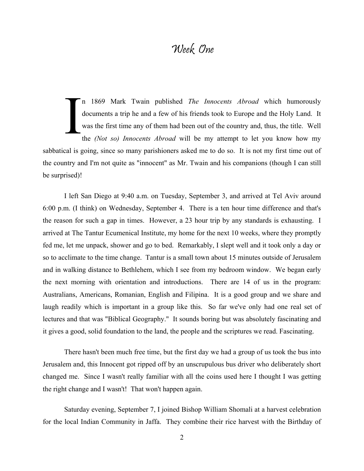#### Week One

n 1869 Mark Twain published *The Innocents Abroad* which humorously documents a trip he and a few of his friends took to Europe and the Holy Land. It was the first time any of them had been out of the country and, thus, the title. Well the *(Not so) Innocents Abroad* will be my attempt to let you know how my sabbatical is going, since so many parishioners asked me to do so. It is not my first time out of the country and I'm not quite as "innocent" as Mr. Twain and his companions (though I can still be surprised)! I

I left San Diego at 9:40 a.m. on Tuesday, September 3, and arrived at Tel Aviv around 6:00 p.m. (I think) on Wednesday, September 4. There is a ten hour time difference and that's the reason for such a gap in times. However, a 23 hour trip by any standards is exhausting. I arrived at The Tantur Ecumenical Institute, my home for the next 10 weeks, where they promptly fed me, let me unpack, shower and go to bed. Remarkably, I slept well and it took only a day or so to acclimate to the time change. Tantur is a small town about 15 minutes outside of Jerusalem and in walking distance to Bethlehem, which I see from my bedroom window. We began early the next morning with orientation and introductions. There are 14 of us in the program: Australians, Americans, Romanian, English and Filipina. It is a good group and we share and laugh readily which is important in a group like this. So far we've only had one real set of lectures and that was "Biblical Geography." It sounds boring but was absolutely fascinating and it gives a good, solid foundation to the land, the people and the scriptures we read. Fascinating.

There hasn't been much free time, but the first day we had a group of us took the bus into Jerusalem and, this Innocent got ripped off by an unscrupulous bus driver who deliberately short changed me. Since I wasn't really familiar with all the coins used here I thought I was getting the right change and I wasn't! That won't happen again.

Saturday evening, September 7, I joined Bishop William Shomali at a harvest celebration for the local Indian Community in Jaffa. They combine their rice harvest with the Birthday of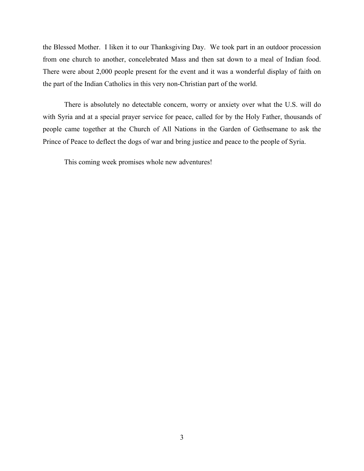the Blessed Mother. I liken it to our Thanksgiving Day. We took part in an outdoor procession from one church to another, concelebrated Mass and then sat down to a meal of Indian food. There were about 2,000 people present for the event and it was a wonderful display of faith on the part of the Indian Catholics in this very non-Christian part of the world.

There is absolutely no detectable concern, worry or anxiety over what the U.S. will do with Syria and at a special prayer service for peace, called for by the Holy Father, thousands of people came together at the Church of All Nations in the Garden of Gethsemane to ask the Prince of Peace to deflect the dogs of war and bring justice and peace to the people of Syria.

This coming week promises whole new adventures!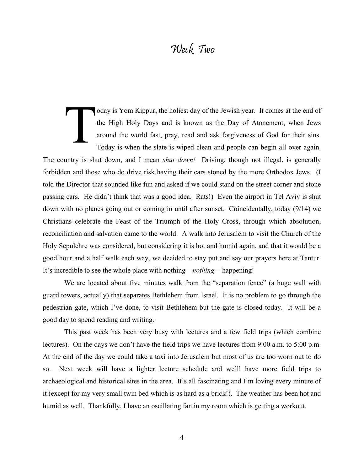# Week Two

oday is Yom Kippur, the holiest day of the Jewish year. It comes at the end of the High Holy Days and is known as the Day of Atonement, when Jews around the world fast, pray, read and ask forgiveness of God for their sins. Today is when the slate is wiped clean and people can begin all over again. The country is shut down, and I mean *shut down!* Driving, though not illegal, is generally forbidden and those who do drive risk having their cars stoned by the more Orthodox Jews. (I told the Director that sounded like fun and asked if we could stand on the street corner and stone passing cars. He didn't think that was a good idea. Rats!) Even the airport in Tel Aviv is shut down with no planes going out or coming in until after sunset. Coincidentally, today (9/14) we Christians celebrate the Feast of the Triumph of the Holy Cross, through which absolution, reconciliation and salvation came to the world. A walk into Jerusalem to visit the Church of the Holy Sepulchre was considered, but considering it is hot and humid again, and that it would be a good hour and a half walk each way, we decided to stay put and say our prayers here at Tantur. It's incredible to see the whole place with nothing – *nothing* - happening! T

We are located about five minutes walk from the "separation fence" (a huge wall with guard towers, actually) that separates Bethlehem from Israel. It is no problem to go through the pedestrian gate, which I've done, to visit Bethlehem but the gate is closed today. It will be a good day to spend reading and writing.

This past week has been very busy with lectures and a few field trips (which combine lectures). On the days we don't have the field trips we have lectures from 9:00 a.m. to 5:00 p.m. At the end of the day we could take a taxi into Jerusalem but most of us are too worn out to do so. Next week will have a lighter lecture schedule and we'll have more field trips to archaeological and historical sites in the area. It's all fascinating and I'm loving every minute of it (except for my very small twin bed which is as hard as a brick!). The weather has been hot and humid as well. Thankfully, I have an oscillating fan in my room which is getting a workout.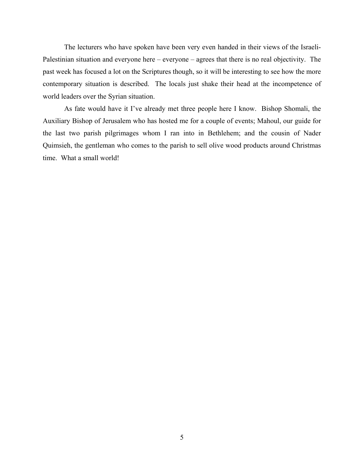The lecturers who have spoken have been very even handed in their views of the Israeli-Palestinian situation and everyone here – everyone – agrees that there is no real objectivity. The past week has focused a lot on the Scriptures though, so it will be interesting to see how the more contemporary situation is described. The locals just shake their head at the incompetence of world leaders over the Syrian situation.

As fate would have it I've already met three people here I know. Bishop Shomali, the Auxiliary Bishop of Jerusalem who has hosted me for a couple of events; Mahoul, our guide for the last two parish pilgrimages whom I ran into in Bethlehem; and the cousin of Nader Quimsieh, the gentleman who comes to the parish to sell olive wood products around Christmas time. What a small world!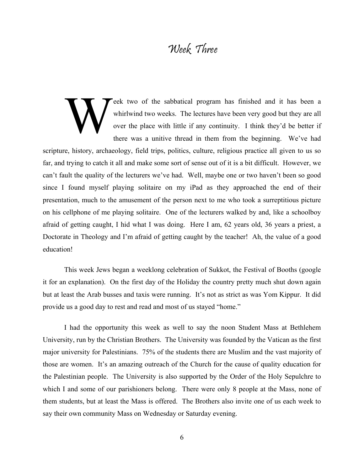# Week Three

eek two of the sabbatical program has finished and it has been a whirlwind two weeks. The lectures have been very good but they are all over the place with little if any continuity. I think they'd be better if there was a unitive thread in them from the beginning. We've had scripture, history, archaeology, field trips, politics, culture, religious practice all given to us so far, and trying to catch it all and make some sort of sense out of it is a bit difficult. However, we can't fault the quality of the lecturers we've had. Well, maybe one or two haven't been so good since I found myself playing solitaire on my iPad as they approached the end of their presentation, much to the amusement of the person next to me who took a surreptitious picture on his cellphone of me playing solitaire. One of the lecturers walked by and, like a schoolboy afraid of getting caught, I hid what I was doing. Here I am, 62 years old, 36 years a priest, a Doctorate in Theology and I'm afraid of getting caught by the teacher! Ah, the value of a good education!  $\sum_{\text{whir}}$ 

This week Jews began a weeklong celebration of Sukkot, the Festival of Booths (google it for an explanation). On the first day of the Holiday the country pretty much shut down again but at least the Arab busses and taxis were running. It's not as strict as was Yom Kippur. It did provide us a good day to rest and read and most of us stayed "home."

I had the opportunity this week as well to say the noon Student Mass at Bethlehem University, run by the Christian Brothers. The University was founded by the Vatican as the first major university for Palestinians. 75% of the students there are Muslim and the vast majority of those are women. It's an amazing outreach of the Church for the cause of quality education for the Palestinian people. The University is also supported by the Order of the Holy Sepulchre to which I and some of our parishioners belong. There were only 8 people at the Mass, none of them students, but at least the Mass is offered. The Brothers also invite one of us each week to say their own community Mass on Wednesday or Saturday evening.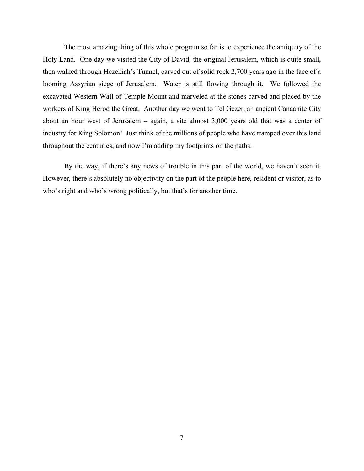The most amazing thing of this whole program so far is to experience the antiquity of the Holy Land. One day we visited the City of David, the original Jerusalem, which is quite small, then walked through Hezekiah's Tunnel, carved out of solid rock 2,700 years ago in the face of a looming Assyrian siege of Jerusalem. Water is still flowing through it. We followed the excavated Western Wall of Temple Mount and marveled at the stones carved and placed by the workers of King Herod the Great. Another day we went to Tel Gezer, an ancient Canaanite City about an hour west of Jerusalem – again, a site almost 3,000 years old that was a center of industry for King Solomon! Just think of the millions of people who have tramped over this land throughout the centuries; and now I'm adding my footprints on the paths.

By the way, if there's any news of trouble in this part of the world, we haven't seen it. However, there's absolutely no objectivity on the part of the people here, resident or visitor, as to who's right and who's wrong politically, but that's for another time.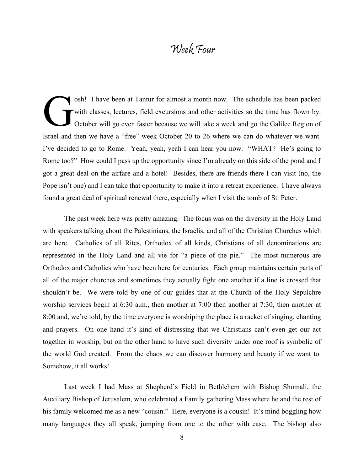# Week Four

osh! I have been at Tantur for almost a month now. The schedule has been packed with classes, lectures, field excursions and other activities so the time has flown by. October will go even faster because we will take a week and go the Galilee Region of Israel and then we have a "free" week October 20 to 26 where we can do whatever we want. I've decided to go to Rome. Yeah, yeah, yeah I can hear you now. "WHAT? He's going to Rome too?" How could I pass up the opportunity since I'm already on this side of the pond and I got a great deal on the airfare and a hotel! Besides, there are friends there I can visit (no, the Pope isn't one) and I can take that opportunity to make it into a retreat experience. I have always found a great deal of spiritual renewal there, especially when I visit the tomb of St. Peter. G

The past week here was pretty amazing. The focus was on the diversity in the Holy Land with speakers talking about the Palestinians, the Israelis, and all of the Christian Churches which are here. Catholics of all Rites, Orthodox of all kinds, Christians of all denominations are represented in the Holy Land and all vie for "a piece of the pie." The most numerous are Orthodox and Catholics who have been here for centuries. Each group maintains certain parts of all of the major churches and sometimes they actually fight one another if a line is crossed that shouldn't be. We were told by one of our guides that at the Church of the Holy Sepulchre worship services begin at 6:30 a.m., then another at 7:00 then another at 7:30, then another at 8:00 and, we're told, by the time everyone is worshiping the place is a racket of singing, chanting and prayers. On one hand it's kind of distressing that we Christians can't even get our act together in worship, but on the other hand to have such diversity under one roof is symbolic of the world God created. From the chaos we can discover harmony and beauty if we want to. Somehow, it all works!

Last week I had Mass at Shepherd's Field in Bethlehem with Bishop Shomali, the Auxiliary Bishop of Jerusalem, who celebrated a Family gathering Mass where he and the rest of his family welcomed me as a new "cousin." Here, everyone is a cousin! It's mind boggling how many languages they all speak, jumping from one to the other with ease. The bishop also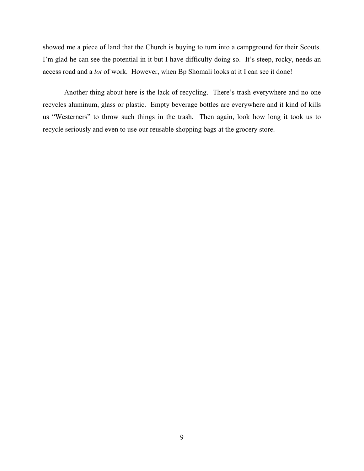showed me a piece of land that the Church is buying to turn into a campground for their Scouts. I'm glad he can see the potential in it but I have difficulty doing so. It's steep, rocky, needs an access road and a *lot* of work. However, when Bp Shomali looks at it I can see it done!

Another thing about here is the lack of recycling. There's trash everywhere and no one recycles aluminum, glass or plastic. Empty beverage bottles are everywhere and it kind of kills us "Westerners" to throw such things in the trash. Then again, look how long it took us to recycle seriously and even to use our reusable shopping bags at the grocery store.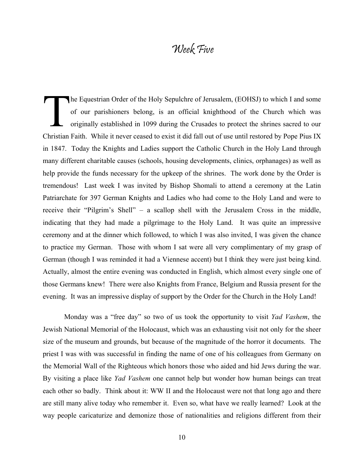# Week Five

he Equestrian Order of the Holy Sepulchre of Jerusalem, (EOHSJ) to which I and some of our parishioners belong, is an official knighthood of the Church which was originally established in 1099 during the Crusades to protect the shrines sacred to our Christian Faith. While it never ceased to exist it did fall out of use until restored by Pope Pius IX in 1847. Today the Knights and Ladies support the Catholic Church in the Holy Land through many different charitable causes (schools, housing developments, clinics, orphanages) as well as help provide the funds necessary for the upkeep of the shrines. The work done by the Order is tremendous! Last week I was invited by Bishop Shomali to attend a ceremony at the Latin Patriarchate for 397 German Knights and Ladies who had come to the Holy Land and were to receive their "Pilgrim's Shell" – a scallop shell with the Jerusalem Cross in the middle, indicating that they had made a pilgrimage to the Holy Land. It was quite an impressive ceremony and at the dinner which followed, to which I was also invited, I was given the chance to practice my German. Those with whom I sat were all very complimentary of my grasp of German (though I was reminded it had a Viennese accent) but I think they were just being kind. Actually, almost the entire evening was conducted in English, which almost every single one of those Germans knew! There were also Knights from France, Belgium and Russia present for the evening. It was an impressive display of support by the Order for the Church in the Holy Land! T

Monday was a "free day" so two of us took the opportunity to visit *Yad Vashem*, the Jewish National Memorial of the Holocaust, which was an exhausting visit not only for the sheer size of the museum and grounds, but because of the magnitude of the horror it documents. The priest I was with was successful in finding the name of one of his colleagues from Germany on the Memorial Wall of the Righteous which honors those who aided and hid Jews during the war. By visiting a place like *Yad Vashem* one cannot help but wonder how human beings can treat each other so badly. Think about it: WW II and the Holocaust were not that long ago and there are still many alive today who remember it. Even so, what have we really learned? Look at the way people caricaturize and demonize those of nationalities and religions different from their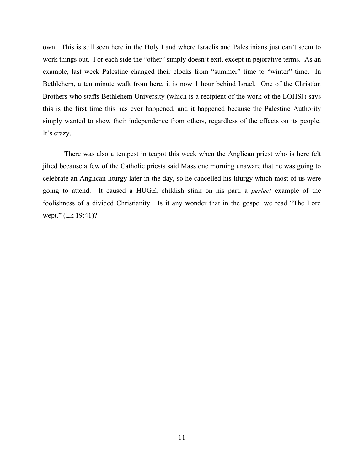own. This is still seen here in the Holy Land where Israelis and Palestinians just can't seem to work things out. For each side the "other" simply doesn't exit, except in pejorative terms. As an example, last week Palestine changed their clocks from "summer" time to "winter" time. In Bethlehem, a ten minute walk from here, it is now 1 hour behind Israel. One of the Christian Brothers who staffs Bethlehem University (which is a recipient of the work of the EOHSJ) says this is the first time this has ever happened, and it happened because the Palestine Authority simply wanted to show their independence from others, regardless of the effects on its people. It's crazy.

There was also a tempest in teapot this week when the Anglican priest who is here felt jilted because a few of the Catholic priests said Mass one morning unaware that he was going to celebrate an Anglican liturgy later in the day, so he cancelled his liturgy which most of us were going to attend. It caused a HUGE, childish stink on his part, a *perfect* example of the foolishness of a divided Christianity. Is it any wonder that in the gospel we read "The Lord wept." (Lk 19:41)?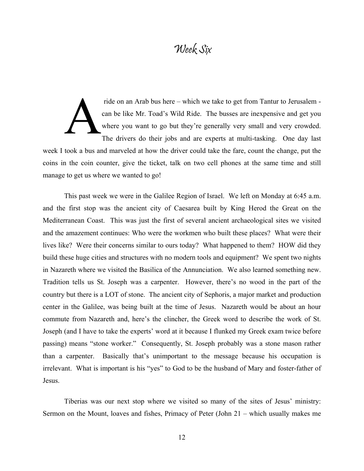#### Week Six

ride on an Arab bus here – which we take to get from Tantur to Jerusalem can be like Mr. Toad's Wild Ride. The busses are inexpensive and get you where you want to go but they're generally very small and very crowded. The drivers do their jobs and are experts at multi-tasking. One day last week I took a bus and marveled at how the driver could take the fare, count the change, put the coins in the coin counter, give the ticket, talk on two cell phones at the same time and still manage to get us where we wanted to go! ride<br>
can l<br>
when<br>
The

This past week we were in the Galilee Region of Israel. We left on Monday at 6:45 a.m. and the first stop was the ancient city of Caesarea built by King Herod the Great on the Mediterranean Coast. This was just the first of several ancient archaeological sites we visited and the amazement continues: Who were the workmen who built these places? What were their lives like? Were their concerns similar to ours today? What happened to them? HOW did they build these huge cities and structures with no modern tools and equipment? We spent two nights in Nazareth where we visited the Basilica of the Annunciation. We also learned something new. Tradition tells us St. Joseph was a carpenter. However, there's no wood in the part of the country but there is a LOT of stone. The ancient city of Sephoris, a major market and production center in the Galilee, was being built at the time of Jesus. Nazareth would be about an hour commute from Nazareth and, here's the clincher, the Greek word to describe the work of St. Joseph (and I have to take the experts' word at it because I flunked my Greek exam twice before passing) means "stone worker." Consequently, St. Joseph probably was a stone mason rather than a carpenter. Basically that's unimportant to the message because his occupation is irrelevant. What is important is his "yes" to God to be the husband of Mary and foster-father of Jesus.

Tiberias was our next stop where we visited so many of the sites of Jesus' ministry: Sermon on the Mount, loaves and fishes, Primacy of Peter (John 21 – which usually makes me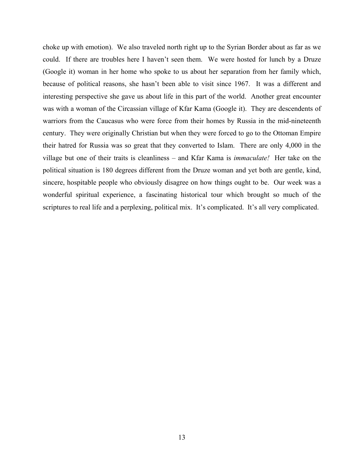choke up with emotion). We also traveled north right up to the Syrian Border about as far as we could. If there are troubles here I haven't seen them. We were hosted for lunch by a Druze (Google it) woman in her home who spoke to us about her separation from her family which, because of political reasons, she hasn't been able to visit since 1967. It was a different and interesting perspective she gave us about life in this part of the world. Another great encounter was with a woman of the Circassian village of Kfar Kama (Google it). They are descendents of warriors from the Caucasus who were force from their homes by Russia in the mid-nineteenth century. They were originally Christian but when they were forced to go to the Ottoman Empire their hatred for Russia was so great that they converted to Islam. There are only 4,000 in the village but one of their traits is cleanliness – and Kfar Kama is *immaculate!* Her take on the political situation is 180 degrees different from the Druze woman and yet both are gentle, kind, sincere, hospitable people who obviously disagree on how things ought to be. Our week was a wonderful spiritual experience, a fascinating historical tour which brought so much of the scriptures to real life and a perplexing, political mix. It's complicated. It's all very complicated.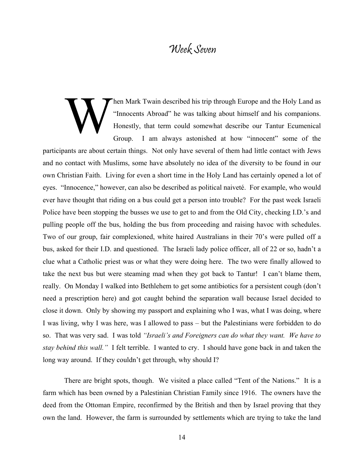#### Week Seven

hen Mark Twain described his trip through Europe and the Holy Land as "Innocents Abroad" he was talking about himself and his companions. Honestly, that term could somewhat describe our Tantur Ecumenical Group. I am always astonished at how "innocent" some of the participants are about certain things. Not only have several of them had little contact with Jews and no contact with Muslims, some have absolutely no idea of the diversity to be found in our own Christian Faith. Living for even a short time in the Holy Land has certainly opened a lot of eyes. "Innocence," however, can also be described as political naiveté. For example, who would ever have thought that riding on a bus could get a person into trouble? For the past week Israeli Police have been stopping the busses we use to get to and from the Old City, checking I.D.'s and pulling people off the bus, holding the bus from proceeding and raising havoc with schedules. Two of our group, fair complexioned, white haired Australians in their 70's were pulled off a bus, asked for their I.D. and questioned. The Israeli lady police officer, all of 22 or so, hadn't a clue what a Catholic priest was or what they were doing here. The two were finally allowed to take the next bus but were steaming mad when they got back to Tantur! I can't blame them, really. On Monday I walked into Bethlehem to get some antibiotics for a persistent cough (don't need a prescription here) and got caught behind the separation wall because Israel decided to close it down. Only by showing my passport and explaining who I was, what I was doing, where I was living, why I was here, was I allowed to pass – but the Palestinians were forbidden to do so. That was very sad. I was told *"Israeli's and Foreigners can do what they want. We have to stay behind this wall."* I felt terrible. I wanted to cry. I should have gone back in and taken the long way around. If they couldn't get through, why should I?  $\sum_{\text{Hom}}$ 

There are bright spots, though. We visited a place called "Tent of the Nations." It is a farm which has been owned by a Palestinian Christian Family since 1916. The owners have the deed from the Ottoman Empire, reconfirmed by the British and then by Israel proving that they own the land. However, the farm is surrounded by settlements which are trying to take the land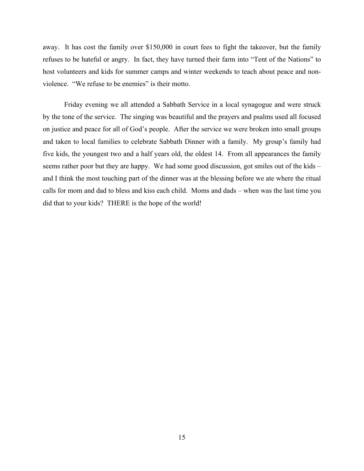away. It has cost the family over \$150,000 in court fees to fight the takeover, but the family refuses to be hateful or angry. In fact, they have turned their farm into "Tent of the Nations" to host volunteers and kids for summer camps and winter weekends to teach about peace and nonviolence. "We refuse to be enemies" is their motto.

Friday evening we all attended a Sabbath Service in a local synagogue and were struck by the tone of the service. The singing was beautiful and the prayers and psalms used all focused on justice and peace for all of God's people. After the service we were broken into small groups and taken to local families to celebrate Sabbath Dinner with a family. My group's family had five kids, the youngest two and a half years old, the oldest 14. From all appearances the family seems rather poor but they are happy. We had some good discussion, got smiles out of the kids – and I think the most touching part of the dinner was at the blessing before we ate where the ritual calls for mom and dad to bless and kiss each child. Moms and dads – when was the last time you did that to your kids? THERE is the hope of the world!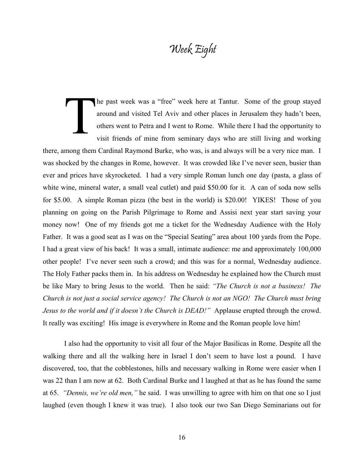# Week Eight

he past week was a "free" week here at Tantur. Some of the group stayed around and visited Tel Aviv and other places in Jerusalem they hadn't been, others went to Petra and I went to Rome. While there I had the opportunity to visit friends of mine from seminary days who are still living and working there, among them Cardinal Raymond Burke, who was, is and always will be a very nice man. I was shocked by the changes in Rome, however. It was crowded like I've never seen, busier than ever and prices have skyrocketed. I had a very simple Roman lunch one day (pasta, a glass of white wine, mineral water, a small veal cutlet) and paid \$50.00 for it. A can of soda now sells for \$5.00. A simple Roman pizza (the best in the world) is \$20.00! YIKES! Those of you planning on going on the Parish Pilgrimage to Rome and Assisi next year start saving your money now! One of my friends got me a ticket for the Wednesday Audience with the Holy Father. It was a good seat as I was on the "Special Seating" area about 100 yards from the Pope. I had a great view of his back! It was a small, intimate audience: me and approximately 100,000 other people! I've never seen such a crowd; and this was for a normal, Wednesday audience. The Holy Father packs them in. In his address on Wednesday he explained how the Church must be like Mary to bring Jesus to the world. Then he said: *"The Church is not a business! The Church is not just a social service agency! The Church is not an NGO! The Church must bring Jesus to the world and if it doesn't the Church is DEAD!"* Applause erupted through the crowd. It really was exciting! His image is everywhere in Rome and the Roman people love him! The p<br>arou other<br>visit

I also had the opportunity to visit all four of the Major Basilicas in Rome. Despite all the walking there and all the walking here in Israel I don't seem to have lost a pound. I have discovered, too, that the cobblestones, hills and necessary walking in Rome were easier when I was 22 than I am now at 62. Both Cardinal Burke and I laughed at that as he has found the same at 65. *"Dennis, we're old men,"* he said. I was unwilling to agree with him on that one so I just laughed (even though I knew it was true). I also took our two San Diego Seminarians out for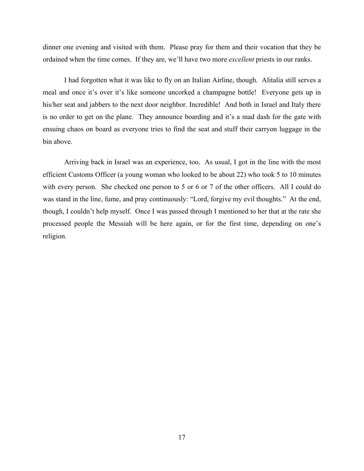dinner one evening and visited with them. Please pray for them and their vocation that they be ordained when the time comes. If they are, we'll have two more *excellent* priests in our ranks.

I had forgotten what it was like to fly on an Italian Airline, though. Alitalia still serves a meal and once it's over it's like someone uncorked a champagne bottle! Everyone gets up in his/her seat and jabbers to the next door neighbor. Incredible! And both in Israel and Italy there is no order to get on the plane. They announce boarding and it's a mad dash for the gate with ensuing chaos on board as everyone tries to find the seat and stuff their carryon luggage in the bin above.

Arriving back in Israel was an experience, too. As usual, I got in the line with the most efficient Customs Officer (a young woman who looked to be about 22) who took 5 to 10 minutes with every person. She checked one person to 5 or 6 or 7 of the other officers. All I could do was stand in the line, fume, and pray continuously: "Lord, forgive my evil thoughts." At the end, though, I couldn't help myself. Once I was passed through I mentioned to her that at the rate she processed people the Messiah will be here again, or for the first time, depending on one's religion.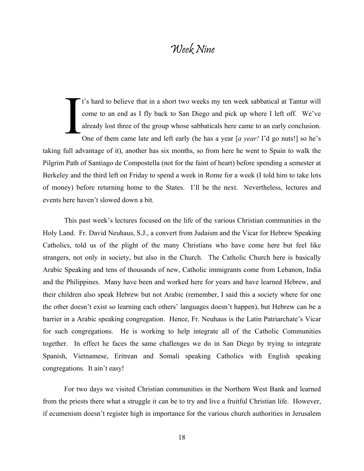# Week Nine

t's hard to believe that in a short two weeks my ten week sabbatical at Tantur will come to an end as I fly back to San Diego and pick up where I left off. We've already lost three of the group whose sabbaticals here came to an early conclusion. One of them came late and left early (he has a year [*a year!* I'd go nuts!] so he's taking full advantage of it), another has six months, so from here he went to Spain to walk the Pilgrim Path of Santiago de Compostella (not for the faint of heart) before spending a semester at Berkeley and the third left on Friday to spend a week in Rome for a week (I told him to take lots of money) before returning home to the States. I'll be the next. Nevertheless, lectures and events here haven't slowed down a bit. I

This past week's lectures focused on the life of the various Christian communities in the Holy Land. Fr. David Neuhaus, S.J., a convert from Judaism and the Vicar for Hebrew Speaking Catholics, told us of the plight of the many Christians who have come here but feel like strangers, not only in society, but also in the Church. The Catholic Church here is basically Arabic Speaking and tens of thousands of new, Catholic immigrants come from Lebanon, India and the Philippines. Many have been and worked here for years and have learned Hebrew, and their children also speak Hebrew but not Arabic (remember, I said this a society where for one the other doesn't exist so learning each others' languages doesn't happen), but Hebrew can be a barrier in a Arabic speaking congregation. Hence, Fr. Neuhaus is the Latin Patriarchate's Vicar for such congregations. He is working to help integrate all of the Catholic Communities together. In effect he faces the same challenges we do in San Diego by trying to integrate Spanish, Vietnamese, Eritrean and Somali speaking Catholics with English speaking congregations. It ain't easy!

For two days we visited Christian communities in the Northern West Bank and learned from the priests there what a struggle it can be to try and live a fruitful Christian life. However, if ecumenism doesn't register high in importance for the various church authorities in Jerusalem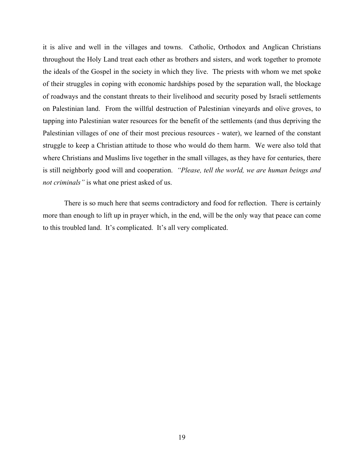it is alive and well in the villages and towns. Catholic, Orthodox and Anglican Christians throughout the Holy Land treat each other as brothers and sisters, and work together to promote the ideals of the Gospel in the society in which they live. The priests with whom we met spoke of their struggles in coping with economic hardships posed by the separation wall, the blockage of roadways and the constant threats to their livelihood and security posed by Israeli settlements on Palestinian land. From the willful destruction of Palestinian vineyards and olive groves, to tapping into Palestinian water resources for the benefit of the settlements (and thus depriving the Palestinian villages of one of their most precious resources - water), we learned of the constant struggle to keep a Christian attitude to those who would do them harm. We were also told that where Christians and Muslims live together in the small villages, as they have for centuries, there is still neighborly good will and cooperation. *"Please, tell the world, we are human beings and not criminals"* is what one priest asked of us.

There is so much here that seems contradictory and food for reflection. There is certainly more than enough to lift up in prayer which, in the end, will be the only way that peace can come to this troubled land. It's complicated. It's all very complicated.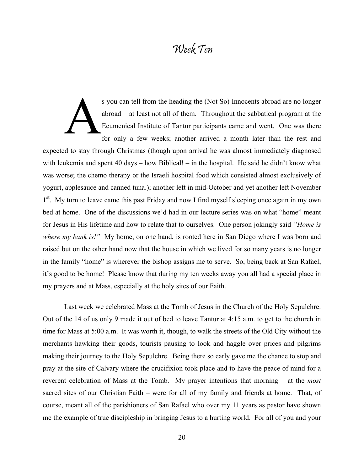# Week Ten

s you can tell from the heading the (Not So) Innocents abroad are no longer abroad – at least not all of them. Throughout the sabbatical program at the Ecumenical Institute of Tantur participants came and went. One was there for only a few weeks; another arrived a month later than the rest and expected to stay through Christmas (though upon arrival he was almost immediately diagnosed with leukemia and spent 40 days – how Biblical! – in the hospital. He said he didn't know what was worse; the chemo therapy or the Israeli hospital food which consisted almost exclusively of yogurt, applesauce and canned tuna.); another left in mid-October and yet another left November 1<sup>st</sup>. My turn to leave came this past Friday and now I find myself sleeping once again in my own bed at home. One of the discussions we'd had in our lecture series was on what "home" meant for Jesus in His lifetime and how to relate that to ourselves. One person jokingly said *"Home is where my bank is!"* My home, on one hand, is rooted here in San Diego where I was born and raised but on the other hand now that the house in which we lived for so many years is no longer in the family "home" is wherever the bishop assigns me to serve. So, being back at San Rafael, it's good to be home! Please know that during my ten weeks away you all had a special place in my prayers and at Mass, especially at the holy sites of our Faith. s you<br>abro<br>Ecur<br>for

Last week we celebrated Mass at the Tomb of Jesus in the Church of the Holy Sepulchre. Out of the 14 of us only 9 made it out of bed to leave Tantur at 4:15 a.m. to get to the church in time for Mass at 5:00 a.m. It was worth it, though, to walk the streets of the Old City without the merchants hawking their goods, tourists pausing to look and haggle over prices and pilgrims making their journey to the Holy Sepulchre. Being there so early gave me the chance to stop and pray at the site of Calvary where the crucifixion took place and to have the peace of mind for a reverent celebration of Mass at the Tomb. My prayer intentions that morning – at the *most* sacred sites of our Christian Faith – were for all of my family and friends at home. That, of course, meant all of the parishioners of San Rafael who over my 11 years as pastor have shown me the example of true discipleship in bringing Jesus to a hurting world. For all of you and your